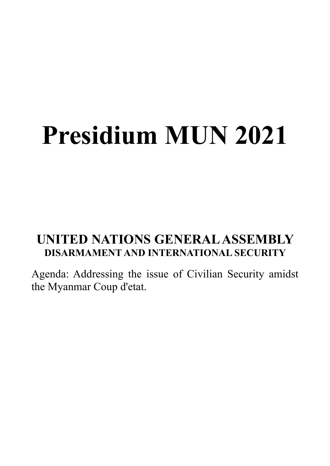# **Presidium MUN 2021**

# **UNITED NATIONS GENERAL ASSEMBLY DISARMAMENT AND INTERNATIONAL SECURITY**

Agenda: Addressing the issue of Civilian Security amidst the Myanmar Coup d'etat.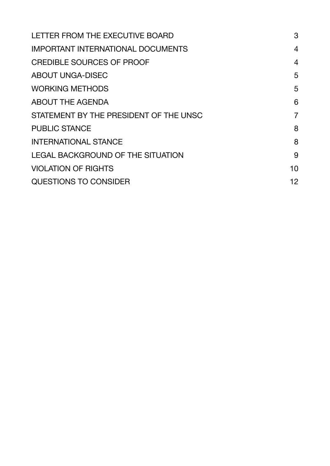| LETTER FROM THE EXECUTIVE BOARD          | 3              |
|------------------------------------------|----------------|
| <b>IMPORTANT INTERNATIONAL DOCUMENTS</b> | $\overline{4}$ |
| <b>CREDIBLE SOURCES OF PROOF</b>         | $\overline{4}$ |
| <b>ABOUT UNGA-DISEC</b>                  | 5              |
| <b>WORKING METHODS</b>                   | 5              |
| <b>ABOUT THE AGENDA</b>                  | 6              |
| STATEMENT BY THE PRESIDENT OF THE UNSC   | $\overline{7}$ |
| <b>PUBLIC STANCE</b>                     | 8              |
| <b>INTERNATIONAL STANCE</b>              | 8              |
| <b>LEGAL BACKGROUND OF THE SITUATION</b> | 9              |
| <b>VIOLATION OF RIGHTS</b>               | 10             |
| QUESTIONS TO CONSIDER                    | 12             |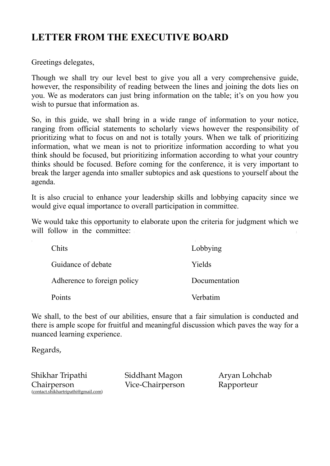## <span id="page-2-0"></span>**LETTER FROM THE EXECUTIVE BOARD**

Greetings delegates,

Though we shall try our level best to give you all a very comprehensive guide, however, the responsibility of reading between the lines and joining the dots lies on you. We as moderators can just bring information on the table; it's on you how you wish to pursue that information as.

So, in this guide, we shall bring in a wide range of information to your notice, ranging from official statements to scholarly views however the responsibility of prioritizing what to focus on and not is totally yours. When we talk of prioritizing information, what we mean is not to prioritize information according to what you think should be focused, but prioritizing information according to what your country thinks should be focused. Before coming for the conference, it is very important to break the larger agenda into smaller subtopics and ask questions to yourself about the agenda.

It is also crucial to enhance your leadership skills and lobbying capacity since we would give equal importance to overall participation in committee.

We would take this opportunity to elaborate upon the criteria for judgment which we will follow in the committee:

| Chits                       | Lobbying      |
|-----------------------------|---------------|
| Guidance of debate          | Yields        |
| Adherence to foreign policy | Documentation |
| Points                      | Verbatim      |

We shall, to the best of our abilities, ensure that a fair simulation is conducted and there is ample scope for fruitful and meaningful discussion which paves the way for a nuanced learning experience.

Regards,

Shikhar Tripathi **Chairperson** [\(contact.shikhartripathi@gmail.com\)](mailto:contact.shikhartripathi@gmail.com) Siddhant Magon Vice-Chairperson

Aryan Lohchab Rapporteur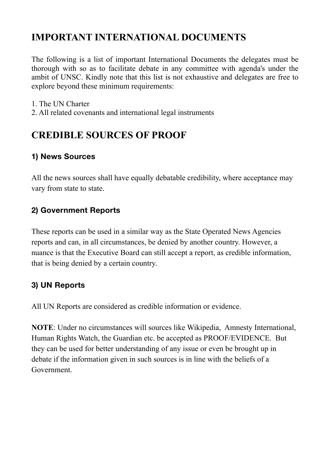## <span id="page-3-0"></span>**IMPORTANT INTERNATIONAL DOCUMENTS**

The following is a list of important International Documents the delegates must be thorough with so as to facilitate debate in any committee with agenda's under the ambit of UNSC. Kindly note that this list is not exhaustive and delegates are free to explore beyond these minimum requirements:

- 1. The UN Charter
- 2. All related covenants and international legal instruments

## <span id="page-3-1"></span>**CREDIBLE SOURCES OF PROOF**

#### **1) News Sources**

All the news sources shall have equally debatable credibility, where acceptance may vary from state to state.

#### **2) Government Reports**

These reports can be used in a similar way as the State Operated News Agencies reports and can, in all circumstances, be denied by another country. However, a nuance is that the Executive Board can still accept a report, as credible information, that is being denied by a certain country.

#### **3) UN Reports**

All UN Reports are considered as credible information or evidence.

**NOTE**: Under no circumstances will sources like Wikipedia, Amnesty International, Human Rights Watch, the Guardian etc. be accepted as PROOF/EVIDENCE. But they can be used for better understanding of any issue or even be brought up in debate if the information given in such sources is in line with the beliefs of a Government.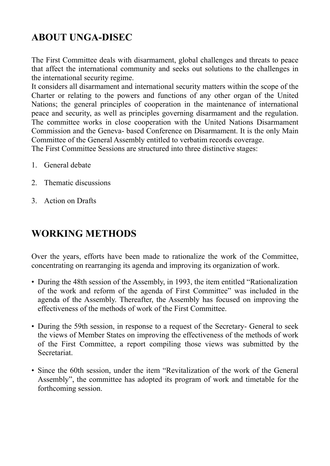# <span id="page-4-0"></span>**ABOUT UNGA-DISEC**

The First Committee deals with disarmament, global challenges and threats to peace that affect the international community and seeks out solutions to the challenges in the international security regime.

It considers all disarmament and international security matters within the scope of the Charter or relating to the powers and functions of any other organ of the United Nations; the general principles of cooperation in the maintenance of international peace and security, as well as principles governing disarmament and the regulation. The committee works in close cooperation with the United Nations Disarmament Commission and the Geneva- based Conference on Disarmament. It is the only Main Committee of the General Assembly entitled to verbatim records coverage.

The First Committee Sessions are structured into three distinctive stages:

- 1. General debate
- 2. Thematic discussions
- 3. Action on Drafts

#### <span id="page-4-1"></span>**WORKING METHODS**

Over the years, efforts have been made to rationalize the work of the Committee, concentrating on rearranging its agenda and improving its organization of work.

- During the 48th session of the Assembly, in 1993, the item entitled "Rationalization of the work and reform of the agenda of First Committee" was included in the agenda of the Assembly. Thereafter, the Assembly has focused on improving the effectiveness of the methods of work of the First Committee.
- During the 59th session, in response to a request of the Secretary- General to seek the views of Member States on improving the effectiveness of the methods of work of the First Committee, a report compiling those views was submitted by the **Secretariat**
- Since the 60th session, under the item "Revitalization of the work of the General Assembly", the committee has adopted its program of work and timetable for the forthcoming session.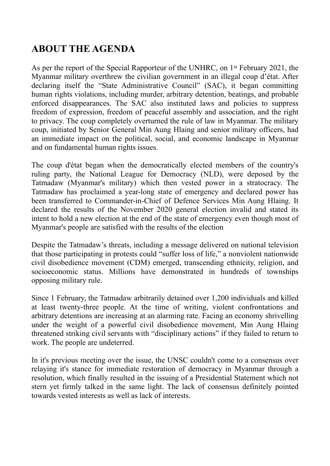## <span id="page-5-0"></span>**ABOUT THE AGENDA**

As per the report of the Special Rapporteur of the UNHRC, on 1st February 2021, the Myanmar military overthrew the civilian government in an illegal coup d'état. After declaring itself the "State Administrative Council" (SAC), it began committing human rights violations, including murder, arbitrary detention, beatings, and probable enforced disappearances. The SAC also instituted laws and policies to suppress freedom of expression, freedom of peaceful assembly and association, and the right to privacy. The coup completely overturned the rule of law in Myanmar. The military coup, initiated by Senior General Min Aung Hlaing and senior military officers, had an immediate impact on the political, social, and economic landscape in Myanmar and on fundamental human rights issues.

The coup d'état began when the democratically elected members of the country's ruling party, the National League for Democracy (NLD), were deposed by the Tatmadaw (Myanmar's military) which then vested power in a stratocracy. The Tatmadaw has proclaimed a year-long state of emergency and declared power has been transferred to Commander-in-Chief of Defence Services Min Aung Hlaing. It declared the results of the November 2020 general election invalid and stated its intent to hold a new election at the end of the state of emergency even though most of Myanmar's people are satisfied with the results of the election

Despite the Tatmadaw's threats, including a message delivered on national television that those participating in protests could "suffer loss of life," a nonviolent nationwide civil disobedience movement (CDM) emerged, transcending ethnicity, religion, and socioeconomic status. Millions have demonstrated in hundreds of townships opposing military rule.

Since 1 February, the Tatmadaw arbitrarily detained over 1,200 individuals and killed at least twenty-three people. At the time of writing, violent confrontations and arbitrary detentions are increasing at an alarming rate. Facing an economy shrivelling under the weight of a powerful civil disobedience movement, Min Aung Hlaing threatened striking civil servants with "disciplinary actions" if they failed to return to work. The people are undeterred.

In it's previous meeting over the issue, the UNSC couldn't come to a consensus over relaying it's stance for immediate restoration of democracy in Myanmar through a resolution, which finally resulted in the issuing of a Presidential Statement which not stern yet firmly talked in the same light. The lack of consensus definitely pointed towards vested interests as well as lack of interests.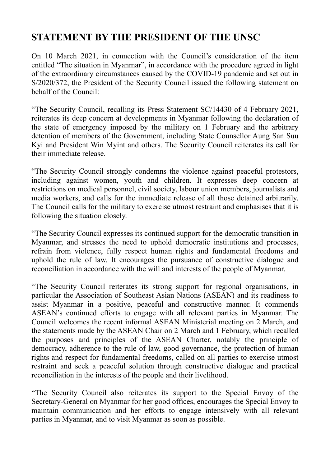#### <span id="page-6-0"></span>**STATEMENT BY THE PRESIDENT OF THE UNSC**

On 10 March 2021, in connection with the Council's consideration of the item entitled "The situation in Myanmar", in accordance with the procedure agreed in light of the extraordinary circumstances caused by the COVID-19 pandemic and set out in S/2020/372, the President of the Security Council issued the following statement on behalf of the Council:

"The Security Council, recalling its Press Statement SC/14430 of 4 February 2021, reiterates its deep concern at developments in Myanmar following the declaration of the state of emergency imposed by the military on 1 February and the arbitrary detention of members of the Government, including State Counsellor Aung San Suu Kyi and President Win Myint and others. The Security Council reiterates its call for their immediate release.

"The Security Council strongly condemns the violence against peaceful protestors, including against women, youth and children. It expresses deep concern at restrictions on medical personnel, civil society, labour union members, journalists and media workers, and calls for the immediate release of all those detained arbitrarily. The Council calls for the military to exercise utmost restraint and emphasises that it is following the situation closely.

"The Security Council expresses its continued support for the democratic transition in Myanmar, and stresses the need to uphold democratic institutions and processes, refrain from violence, fully respect human rights and fundamental freedoms and uphold the rule of law. It encourages the pursuance of constructive dialogue and reconciliation in accordance with the will and interests of the people of Myanmar.

"The Security Council reiterates its strong support for regional organisations, in particular the Association of Southeast Asian Nations (ASEAN) and its readiness to assist Myanmar in a positive, peaceful and constructive manner. It commends ASEAN's continued efforts to engage with all relevant parties in Myanmar. The Council welcomes the recent informal ASEAN Ministerial meeting on 2 March, and the statements made by the ASEAN Chair on 2 March and 1 February, which recalled the purposes and principles of the ASEAN Charter, notably the principle of democracy, adherence to the rule of law, good governance, the protection of human rights and respect for fundamental freedoms, called on all parties to exercise utmost restraint and seek a peaceful solution through constructive dialogue and practical reconciliation in the interests of the people and their livelihood.

"The Security Council also reiterates its support to the Special Envoy of the Secretary-General on Myanmar for her good offices, encourages the Special Envoy to maintain communication and her efforts to engage intensively with all relevant parties in Myanmar, and to visit Myanmar as soon as possible.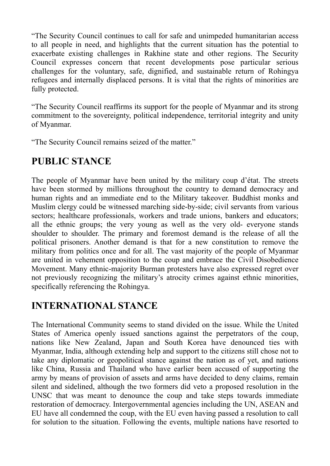"The Security Council continues to call for safe and unimpeded humanitarian access to all people in need, and highlights that the current situation has the potential to exacerbate existing challenges in Rakhine state and other regions. The Security Council expresses concern that recent developments pose particular serious challenges for the voluntary, safe, dignified, and sustainable return of Rohingya refugees and internally displaced persons. It is vital that the rights of minorities are fully protected.

"The Security Council reaffirms its support for the people of Myanmar and its strong commitment to the sovereignty, political independence, territorial integrity and unity of Myanmar.

"The Security Council remains seized of the matter."

#### <span id="page-7-0"></span>**PUBLIC STANCE**

The people of Myanmar have been united by the military coup d'état. The streets have been stormed by millions throughout the country to demand democracy and human rights and an immediate end to the Military takeover. Buddhist monks and Muslim clergy could be witnessed marching side-by-side; civil servants from various sectors; healthcare professionals, workers and trade unions, bankers and educators; all the ethnic groups; the very young as well as the very old- everyone stands shoulder to shoulder. The primary and foremost demand is the release of all the political prisoners. Another demand is that for a new constitution to remove the military from politics once and for all. The vast majority of the people of Myanmar are united in vehement opposition to the coup and embrace the Civil Disobedience Movement. Many ethnic-majority Burman protesters have also expressed regret over not previously recognizing the military's atrocity crimes against ethnic minorities, specifically referencing the Rohingya.

#### <span id="page-7-1"></span>**INTERNATIONAL STANCE**

The International Community seems to stand divided on the issue. While the United States of America openly issued sanctions against the perpetrators of the coup, nations like New Zealand, Japan and South Korea have denounced ties with Myanmar, India, although extending help and support to the citizens still chose not to take any diplomatic or geopolitical stance against the nation as of yet, and nations like China, Russia and Thailand who have earlier been accused of supporting the army by means of provision of assets and arms have decided to deny claims, remain silent and sidelined, although the two formers did veto a proposed resolution in the UNSC that was meant to denounce the coup and take steps towards immediate restoration of democracy. Intergovernmental agencies including the UN, ASEAN and EU have all condemned the coup, with the EU even having passed a resolution to call for solution to the situation. Following the events, multiple nations have resorted to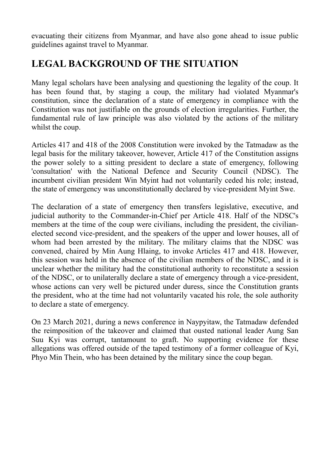evacuating their citizens from Myanmar, and have also gone ahead to issue public guidelines against travel to Myanmar.

#### <span id="page-8-0"></span>**LEGAL BACKGROUND OF THE SITUATION**

Many legal scholars have been analysing and questioning the legality of the coup. It has been found that, by staging a coup, the military had violated Myanmar's constitution, since the declaration of a state of emergency in compliance with the Constitution was not justifiable on the grounds of election irregularities. Further, the fundamental rule of law principle was also violated by the actions of the military whilst the coup.

Articles 417 and 418 of the 2008 Constitution were invoked by the Tatmadaw as the legal basis for the military takeover, however, Article 417 of the Constitution assigns the power solely to a sitting president to declare a state of emergency, following 'consultation' with the National Defence and Security Council (NDSC). The incumbent civilian president Win Myint had not voluntarily ceded his role; instead, the state of emergency was unconstitutionally declared by vice-president Myint Swe.

The declaration of a state of emergency then transfers legislative, executive, and judicial authority to the Commander-in-Chief per Article 418. Half of the NDSC's members at the time of the coup were civilians, including the president, the civilianelected second vice-president, and the speakers of the upper and lower houses, all of whom had been arrested by the military. The military claims that the NDSC was convened, chaired by Min Aung Hlaing, to invoke Articles 417 and 418. However, this session was held in the absence of the civilian members of the NDSC, and it is unclear whether the military had the constitutional authority to reconstitute a session of the NDSC, or to unilaterally declare a state of emergency through a vice-president, whose actions can very well be pictured under duress, since the Constitution grants the president, who at the time had not voluntarily vacated his role, the sole authority to declare a state of emergency.

On 23 March 2021, during a news conference in Naypyitaw, the Tatmadaw defended the reimposition of the takeover and claimed that ousted national leader Aung San Suu Kyi was corrupt, tantamount to graft. No supporting evidence for these allegations was offered outside of the taped testimony of a former colleague of Kyi, Phyo Min Thein, who has been detained by the military since the coup began.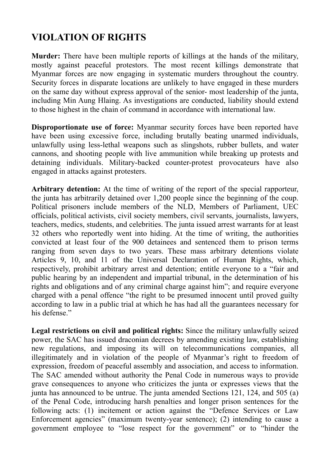## <span id="page-9-0"></span>**VIOLATION OF RIGHTS**

**Murder:** There have been multiple reports of killings at the hands of the military, mostly against peaceful protestors. The most recent killings demonstrate that Myanmar forces are now engaging in systematic murders throughout the country. Security forces in disparate locations are unlikely to have engaged in these murders on the same day without express approval of the senior- most leadership of the junta, including Min Aung Hlaing. As investigations are conducted, liability should extend to those highest in the chain of command in accordance with international law.

**Disproportionate use of force:** Myanmar security forces have been reported have have been using excessive force, including brutally beating unarmed individuals, unlawfully using less-lethal weapons such as slingshots, rubber bullets, and water cannons, and shooting people with live ammunition while breaking up protests and detaining individuals. Military-backed counter-protest provocateurs have also engaged in attacks against protesters.

**Arbitrary detention:** At the time of writing of the report of the special rapporteur, the junta has arbitrarily detained over 1,200 people since the beginning of the coup. Political prisoners include members of the NLD, Members of Parliament, UEC officials, political activists, civil society members, civil servants, journalists, lawyers, teachers, medics, students, and celebrities. The junta issued arrest warrants for at least 32 others who reportedly went into hiding. At the time of writing, the authorities convicted at least four of the 900 detainees and sentenced them to prison terms ranging from seven days to two years. These mass arbitrary detentions violate Articles 9, 10, and 11 of the Universal Declaration of Human Rights, which, respectively, prohibit arbitrary arrest and detention; entitle everyone to a "fair and public hearing by an independent and impartial tribunal, in the determination of his rights and obligations and of any criminal charge against him"; and require everyone charged with a penal offence "the right to be presumed innocent until proved guilty according to law in a public trial at which he has had all the guarantees necessary for his defense."

**Legal restrictions on civil and political rights:** Since the military unlawfully seized power, the SAC has issued draconian decrees by amending existing law, establishing new regulations, and imposing its will on telecommunications companies, all illegitimately and in violation of the people of Myanmar's right to freedom of expression, freedom of peaceful assembly and association, and access to information. The SAC amended without authority the Penal Code in numerous ways to provide grave consequences to anyone who criticizes the junta or expresses views that the junta has announced to be untrue. The junta amended Sections 121, 124, and 505 (a) of the Penal Code, introducing harsh penalties and longer prison sentences for the following acts: (1) incitement or action against the "Defence Services or Law Enforcement agencies" (maximum twenty-year sentence); (2) intending to cause a government employee to "lose respect for the government" or to "hinder the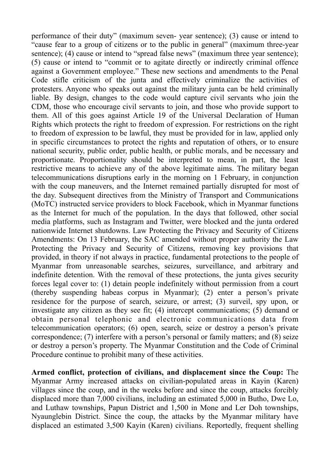performance of their duty" (maximum seven- year sentence); (3) cause or intend to "cause fear to a group of citizens or to the public in general" (maximum three-year sentence); (4) cause or intend to "spread false news" (maximum three year sentence); (5) cause or intend to "commit or to agitate directly or indirectly criminal offence against a Government employee." These new sections and amendments to the Penal Code stifle criticism of the junta and effectively criminalize the activities of protesters. Anyone who speaks out against the military junta can be held criminally liable. By design, changes to the code would capture civil servants who join the CDM, those who encourage civil servants to join, and those who provide support to them. All of this goes against Article 19 of the Universal Declaration of Human Rights which protects the right to freedom of expression. For restrictions on the right to freedom of expression to be lawful, they must be provided for in law, applied only in specific circumstances to protect the rights and reputation of others, or to ensure national security, public order, public health, or public morals, and be necessary and proportionate. Proportionality should be interpreted to mean, in part, the least restrictive means to achieve any of the above legitimate aims. The military began telecommunications disruptions early in the morning on 1 February, in conjunction with the coup maneuvers, and the Internet remained partially disrupted for most of the day. Subsequent directives from the Ministry of Transport and Communications (MoTC) instructed service providers to block Facebook, which in Myanmar functions as the Internet for much of the population. In the days that followed, other social media platforms, such as Instagram and Twitter, were blocked and the junta ordered nationwide Internet shutdowns. Law Protecting the Privacy and Security of Citizens Amendments: On 13 February, the SAC amended without proper authority the Law Protecting the Privacy and Security of Citizens, removing key provisions that provided, in theory if not always in practice, fundamental protections to the people of Myanmar from unreasonable searches, seizures, surveillance, and arbitrary and indefinite detention. With the removal of these protections, the junta gives security forces legal cover to: (1) detain people indefinitely without permission from a court (thereby suspending habeas corpus in Myanmar); (2) enter a person's private residence for the purpose of search, seizure, or arrest; (3) surveil, spy upon, or investigate any citizen as they see fit; (4) intercept communications; (5) demand or obtain personal telephonic and electronic communications data from telecommunication operators; (6) open, search, seize or destroy a person's private correspondence; (7) interfere with a person's personal or family matters; and (8) seize or destroy a person's property. The Myanmar Constitution and the Code of Criminal Procedure continue to prohibit many of these activities.

**Armed conflict, protection of civilians, and displacement since the Coup:** The Myanmar Army increased attacks on civilian-populated areas in Kayin (Karen) villages since the coup, and in the weeks before and since the coup, attacks forcibly displaced more than 7,000 civilians, including an estimated 5,000 in Butho, Dwe Lo, and Luthaw townships, Papun District and 1,500 in Mone and Ler Doh townships, Nyaunglebin District. Since the coup, the attacks by the Myanmar military have displaced an estimated 3,500 Kayin (Karen) civilians. Reportedly, frequent shelling